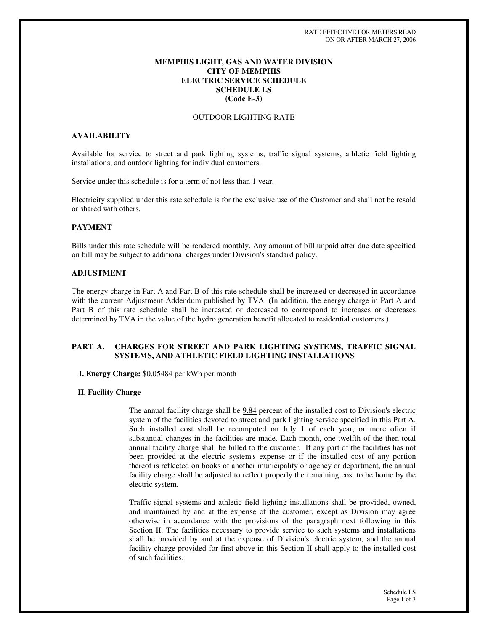## **MEMPHIS LIGHT, GAS AND WATER DIVISION CITY OF MEMPHIS ELECTRIC SERVICE SCHEDULE SCHEDULE LS (Code E-3)**

## OUTDOOR LIGHTING RATE

## **AVAILABILITY**

Available for service to street and park lighting systems, traffic signal systems, athletic field lighting installations, and outdoor lighting for individual customers.

Service under this schedule is for a term of not less than 1 year.

Electricity supplied under this rate schedule is for the exclusive use of the Customer and shall not be resold or shared with others.

## **PAYMENT**

Bills under this rate schedule will be rendered monthly. Any amount of bill unpaid after due date specified on bill may be subject to additional charges under Division's standard policy.

## **ADJUSTMENT**

The energy charge in Part A and Part B of this rate schedule shall be increased or decreased in accordance with the current Adjustment Addendum published by TVA. (In addition, the energy charge in Part A and Part B of this rate schedule shall be increased or decreased to correspond to increases or decreases determined by TVA in the value of the hydro generation benefit allocated to residential customers.)

## **PART A. CHARGES FOR STREET AND PARK LIGHTING SYSTEMS, TRAFFIC SIGNAL SYSTEMS, AND ATHLETIC FIELD LIGHTING INSTALLATIONS**

**I. Energy Charge:** \$0.05484 per kWh per month

## **II. Facility Charge**

The annual facility charge shall be  $9.84$  percent of the installed cost to Division's electric system of the facilities devoted to street and park lighting service specified in this Part A. Such installed cost shall be recomputed on July 1 of each year, or more often if substantial changes in the facilities are made. Each month, one-twelfth of the then total annual facility charge shall be billed to the customer. If any part of the facilities has not been provided at the electric system's expense or if the installed cost of any portion thereof is reflected on books of another municipality or agency or department, the annual facility charge shall be adjusted to reflect properly the remaining cost to be borne by the electric system.

Traffic signal systems and athletic field lighting installations shall be provided, owned, and maintained by and at the expense of the customer, except as Division may agree otherwise in accordance with the provisions of the paragraph next following in this Section II. The facilities necessary to provide service to such systems and installations shall be provided by and at the expense of Division's electric system, and the annual facility charge provided for first above in this Section II shall apply to the installed cost of such facilities.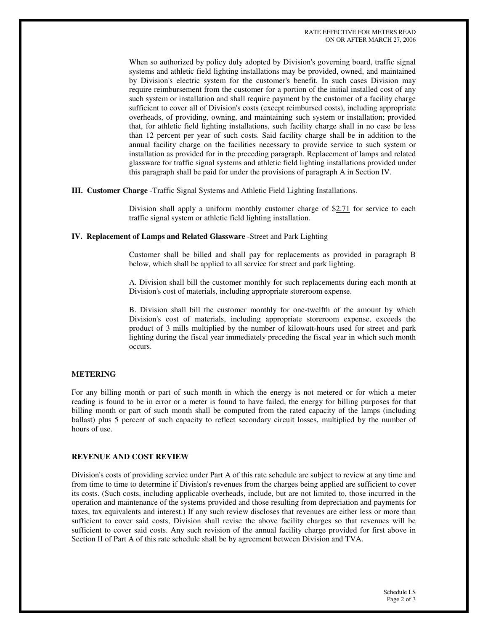When so authorized by policy duly adopted by Division's governing board, traffic signal systems and athletic field lighting installations may be provided, owned, and maintained by Division's electric system for the customer's benefit. In such cases Division may require reimbursement from the customer for a portion of the initial installed cost of any such system or installation and shall require payment by the customer of a facility charge sufficient to cover all of Division's costs (except reimbursed costs), including appropriate overheads, of providing, owning, and maintaining such system or installation; provided that, for athletic field lighting installations, such facility charge shall in no case be less than 12 percent per year of such costs. Said facility charge shall be in addition to the annual facility charge on the facilities necessary to provide service to such system or installation as provided for in the preceding paragraph. Replacement of lamps and related glassware for traffic signal systems and athletic field lighting installations provided under this paragraph shall be paid for under the provisions of paragraph A in Section IV.

#### **III. Customer Charge** -Traffic Signal Systems and Athletic Field Lighting Installations.

Division shall apply a uniform monthly customer charge of \$2.71 for service to each traffic signal system or athletic field lighting installation.

## **IV. Replacement of Lamps and Related Glassware** -Street and Park Lighting

Customer shall be billed and shall pay for replacements as provided in paragraph B below, which shall be applied to all service for street and park lighting.

A. Division shall bill the customer monthly for such replacements during each month at Division's cost of materials, including appropriate storeroom expense.

B. Division shall bill the customer monthly for one-twelfth of the amount by which Division's cost of materials, including appropriate storeroom expense, exceeds the product of 3 mills multiplied by the number of kilowatt-hours used for street and park lighting during the fiscal year immediately preceding the fiscal year in which such month occurs.

## **METERING**

For any billing month or part of such month in which the energy is not metered or for which a meter reading is found to be in error or a meter is found to have failed, the energy for billing purposes for that billing month or part of such month shall be computed from the rated capacity of the lamps (including ballast) plus 5 percent of such capacity to reflect secondary circuit losses, multiplied by the number of hours of use.

## **REVENUE AND COST REVIEW**

Division's costs of providing service under Part A of this rate schedule are subject to review at any time and from time to time to determine if Division's revenues from the charges being applied are sufficient to cover its costs. (Such costs, including applicable overheads, include, but are not limited to, those incurred in the operation and maintenance of the systems provided and those resulting from depreciation and payments for taxes, tax equivalents and interest.) If any such review discloses that revenues are either less or more than sufficient to cover said costs, Division shall revise the above facility charges so that revenues will be sufficient to cover said costs. Any such revision of the annual facility charge provided for first above in Section II of Part A of this rate schedule shall be by agreement between Division and TVA.